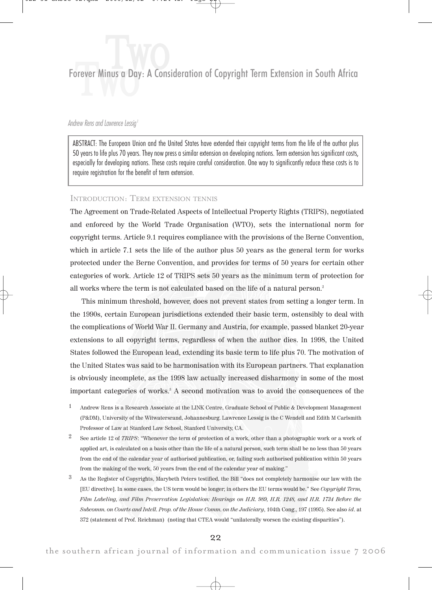# Forever Minus a Day: A Consideration of Copyright Term Extension in South Africa **Two**

# Andrew Rens and Lawrence Lessig<sup>1</sup>

ABSTRACT: The European Union and the United States have extended their copyright terms from the life of the author plus 50 years to life plus 70 years. They now press a similar extension on developing nations. Term extension has significant costs, especially for developing nations. These costs require careful consideration. One way to significantly reduce these costs is to require registration for the benefit of term extension.

# INTRODUCTION: TERM EXTENSION TENNIS

The Agreement on Trade-Related Aspects of Intellectual Property Rights (TRIPS), negotiated and enforced by the World Trade Organisation (WTO), sets the international norm for copyright terms. Article 9.1 requires compliance with the provisions of the Berne Convention, which in article 7.1 sets the life of the author plus 50 years as the general term for works protected under the Berne Convention, and provides for terms of 50 years for certain other categories of work. Article 12 of TRIPS sets 50 years as the minimum term of protection for all works where the term is not calculated based on the life of a natural person.2

This minimum threshold, however, does not prevent states from setting a longer term. In the 1990s, certain European jurisdictions extended their basic term, ostensibly to deal with the complications of World War II. Germany and Austria, for example, passed blanket 20-year extensions to all copyright terms, regardless of when the author dies. In 1998, the United States followed the European lead, extending its basic term to life plus 70. The motivation of the United States was said to be harmonisation with its European partners. That explanation is obviously incomplete, as the 1998 law actually increased disharmony in some of the most important categories of works.3 A second motivation was to avoid the consequences of the

- 1 Andrew Rens is a Research Associate at the LINK Centre, Graduate School of Public & Development Management (P&DM), University of the Witwatersrand, Johannesburg. Lawrence Lessig is the C Wendell and Edith M Carlsmith Professor of Law at Stanford Law School, Stanford University, CA.
- See article 12 of TRIPS: "Whenever the term of protection of a work, other than a photographic work or a work of applied art, is calculated on a basis other than the life of a natural person, such term shall be no less than 50 years from the end of the calendar year of authorised publication, or, failing such authorised publication within 50 years from the making of the work, 50 years from the end of the calendar year of making."
- 3 As the Register of Copyrights, Marybeth Peters testified, the Bill "does not completely harmonise our law with the [EU directive]. In some cases, the US term would be longer; in others the EU terms would be." See Copyright Term, Film Labeling, and Film Preservation Legislation: Hearings on H.R. 989, H.R. 1248, and H.R. 1734 Before the Subcomm. on Courts and Intell. Prop. of the House Comm. on the Judiciary, 104th Cong., 197 (1995). See also id. at 372 (statement of Prof. Reichman) (noting that CTEA would "unilaterally worsen the existing disparities").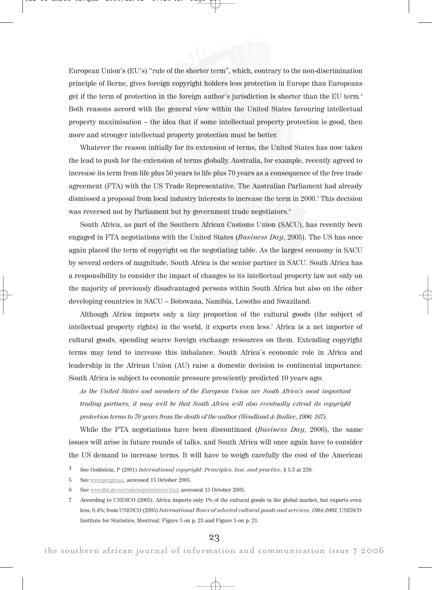

Whatever the reason initially for its extension of terms, the United States has now taken the lead to push for the extension of terms globally. Australia, for example, recently agreed to increase its term from life plus 50 years to life plus 70 years as a consequence of the free trade agreement (FTA) with the US Trade Representative. The Australian Parliament had already dismissed a proposal from local industry interests to increase the term in 2000.<sup>5</sup> This decision was reversed not by Parliament but by government trade negotiators.<sup>6</sup>

South Africa, as part of the Southern African Customs Union (SACU), has recently been engaged in FTA negotiations with the United States (Business Day, 2005). The US has once again placed the term of copyright on the negotiating table. As the largest economy in SACU by several orders of magnitude, South Africa is the senior partner in SACU. South Africa has a responsibility to consider the impact of changes to its intellectual property law not only on the majority of previously disadvantaged persons within South Africa but also on the other developing countries in SACU – Botswana, Namibia, Lesotho and Swaziland.

Although Africa imports only a tiny proportion of the cultural goods (the subject of intellectual property rights) in the world, it exports even less.7 Africa is a net importer of cultural goods, spending scarce foreign exchange resources on them. Extending copyright terms may tend to increase this imbalance. South Africa's economic role in Africa and leadership in the African Union (AU) raise a domestic decision to continental importance. South Africa is subject to economic pressure presciently predicted 10 years ago:

As the United States and members of the European Union are South Africa's most important trading partners, it may well be that South Africa will also eventually extend its copyright protection terms to 70 years from the death of the author (Wendland & Baillee, 1996: 167).

While the FTA negotiations have been discontinued (*Business Day*, 2006), the same issues will arise in future rounds of talks, and South Africa will once again have to consider the US demand to increase terms. It will have to weigh carefully the cost of the American

- 5 See www.ipcr.gov.au/, accessed 15 October 2005.
- 6 See www.dfat.gov.au/trade/negotiations/us.html, accessed 15 October 2005.
- 7 According to UNESCO (2005), Africa imports only 1% of the cultural goods in the global market, but exports even less, 0.4%; from UNESCO (2005) International flows of selected cultural goods and services, 1994-2003, UNESCO Institute for Statistics, Montreal: Figure 5 on p. 23 and Figure 5 on p. 21.

<sup>&</sup>lt;sup>4</sup> See Goldstein, P (2001) International copyright: Principles, law, and practice, § 5.3 at 239.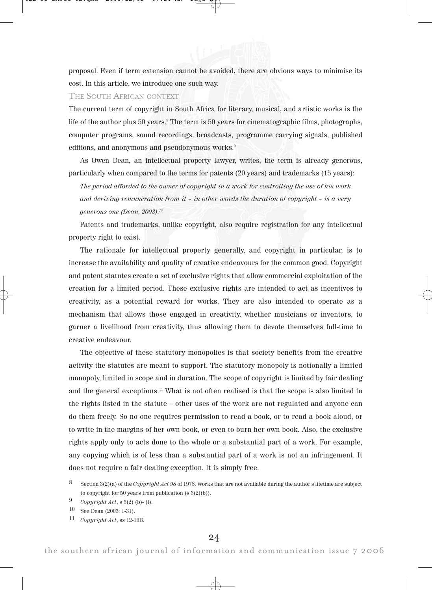proposal. Even if term extension cannot be avoided, there are obvious ways to minimise its cost. In this article, we introduce one such way.

# THE SOUTH AFRICAN CONTEXT

The current term of copyright in South Africa for literary, musical, and artistic works is the life of the author plus 50 years.<sup>8</sup> The term is 50 years for cinematographic films, photographs, computer programs, sound recordings, broadcasts, programme carrying signals, published editions, and anonymous and pseudonymous works.<sup>9</sup>

As Owen Dean, an intellectual property lawyer, writes, the term is already generous, particularly when compared to the terms for patents (20 years) and trademarks (15 years):

The period afforded to the owner of copyright in a work for controlling the use of his work and deriving remuneration from it – in other words the duration of copyright – is a very generous one (Dean, 2003).10

Patents and trademarks, unlike copyright, also require registration for any intellectual property right to exist.

The rationale for intellectual property generally, and copyright in particular, is to increase the availability and quality of creative endeavours for the common good. Copyright and patent statutes create a set of exclusive rights that allow commercial exploitation of the creation for a limited period. These exclusive rights are intended to act as incentives to creativity, as a potential reward for works. They are also intended to operate as a mechanism that allows those engaged in creativity, whether musicians or inventors, to garner a livelihood from creativity, thus allowing them to devote themselves full-time to creative endeavour.

The objective of these statutory monopolies is that society benefits from the creative activity the statutes are meant to support. The statutory monopoly is notionally a limited monopoly, limited in scope and in duration. The scope of copyright is limited by fair dealing and the general exceptions.<sup>11</sup> What is not often realised is that the scope is also limited to the rights listed in the statute – other uses of the work are not regulated and anyone can do them freely. So no one requires permission to read a book, or to read a book aloud, or to write in the margins of her own book, or even to burn her own book. Also, the exclusive rights apply only to acts done to the whole or a substantial part of a work. For example, any copying which is of less than a substantial part of a work is not an infringement. It does not require a fair dealing exception. It is simply free.

Section  $3(2)(a)$  of the Copyright Act 98 of 1978. Works that are not available during the author's lifetime are subject to copyright for 50 years from publication (s 3(2)(b)).

<sup>9</sup> Copyright Act, s 3(2) (b)- (f).

<sup>10</sup> See Dean (2003: 1-31).

<sup>11</sup> Copyright Act, ss 12-19B.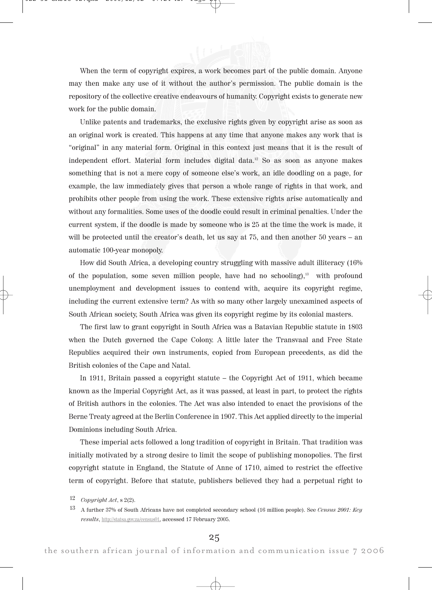When the term of copyright expires, a work becomes part of the public domain. Anyone may then make any use of it without the author's permission. The public domain is the repository of the collective creative endeavours of humanity. Copyright exists to generate new work for the public domain.

Unlike patents and trademarks, the exclusive rights given by copyright arise as soon as an original work is created. This happens at any time that anyone makes any work that is "original" in any material form. Original in this context just means that it is the result of independent effort. Material form includes digital data.<sup>12</sup> So as soon as anyone makes something that is not a mere copy of someone else's work, an idle doodling on a page, for example, the law immediately gives that person a whole range of rights in that work, and prohibits other people from using the work. These extensive rights arise automatically and without any formalities. Some uses of the doodle could result in criminal penalties. Under the current system, if the doodle is made by someone who is 25 at the time the work is made, it will be protected until the creator's death, let us say at 75, and then another 50 years – an automatic 100-year monopoly.

How did South Africa, a developing country struggling with massive adult illiteracy (16% of the population, some seven million people, have had no schooling), $13$  with profound unemployment and development issues to contend with, acquire its copyright regime, including the current extensive term? As with so many other largely unexamined aspects of South African society, South Africa was given its copyright regime by its colonial masters.

The first law to grant copyright in South Africa was a Batavian Republic statute in 1803 when the Dutch governed the Cape Colony. A little later the Transvaal and Free State Republics acquired their own instruments, copied from European precedents, as did the British colonies of the Cape and Natal.

In 1911, Britain passed a copyright statute – the Copyright Act of 1911, which became known as the Imperial Copyright Act, as it was passed, at least in part, to protect the rights of British authors in the colonies. The Act was also intended to enact the provisions of the Berne Treaty agreed at the Berlin Conference in 1907. This Act applied directly to the imperial Dominions including South Africa.

These imperial acts followed a long tradition of copyright in Britain. That tradition was initially motivated by a strong desire to limit the scope of publishing monopolies. The first copyright statute in England, the Statute of Anne of 1710, aimed to restrict the effective term of copyright. Before that statute, publishers believed they had a perpetual right to

<sup>12</sup> Copyright Act,  $s$  2(2).

<sup>&</sup>lt;sup>13</sup> A further 37% of South Africans have not completed secondary school (16 million people). See Census 2001: Key results, http://statsa.gov.za/census01, accessed 17 February 2005.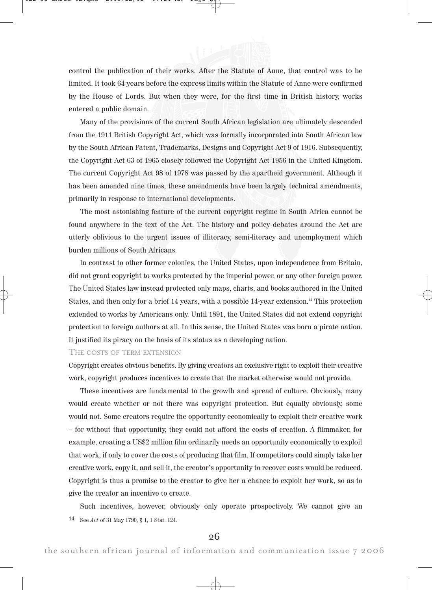

control the publication of their works. After the Statute of Anne, that control was to be limited. It took 64 years before the express limits within the Statute of Anne were confirmed by the House of Lords. But when they were, for the first time in British history, works entered a public domain.

Many of the provisions of the current South African legislation are ultimately descended from the 1911 British Copyright Act, which was formally incorporated into South African law by the South African Patent, Trademarks, Designs and Copyright Act 9 of 1916. Subsequently, the Copyright Act 63 of 1965 closely followed the Copyright Act 1956 in the United Kingdom. The current Copyright Act 98 of 1978 was passed by the apartheid government. Although it has been amended nine times, these amendments have been largely technical amendments, primarily in response to international developments.

The most astonishing feature of the current copyright regime in South Africa cannot be found anywhere in the text of the Act. The history and policy debates around the Act are utterly oblivious to the urgent issues of illiteracy, semi-literacy and unemployment which burden millions of South Africans.

In contrast to other former colonies, the United States, upon independence from Britain, did not grant copyright to works protected by the imperial power, or any other foreign power. The United States law instead protected only maps, charts, and books authored in the United States, and then only for a brief 14 years, with a possible 14-year extension.<sup>14</sup> This protection extended to works by Americans only. Until 1891, the United States did not extend copyright protection to foreign authors at all. In this sense, the United States was born a pirate nation. It justified its piracy on the basis of its status as a developing nation.

#### THE COSTS OF TERM EXTENSION

Copyright creates obvious benefits. By giving creators an exclusive right to exploit their creative work, copyright produces incentives to create that the market otherwise would not provide.

These incentives are fundamental to the growth and spread of culture. Obviously, many would create whether or not there was copyright protection. But equally obviously, some would not. Some creators require the opportunity economically to exploit their creative work – for without that opportunity, they could not afford the costs of creation. A filmmaker, for example, creating a US\$2 million film ordinarily needs an opportunity economically to exploit that work, if only to cover the costs of producing that film. If competitors could simply take her creative work, copy it, and sell it, the creator's opportunity to recover costs would be reduced. Copyright is thus a promise to the creator to give her a chance to exploit her work, so as to give the creator an incentive to create.

Such incentives, however, obviously only operate prospectively. We cannot give an 14 See Act of 31 May 1790, § 1, 1 Stat. 124.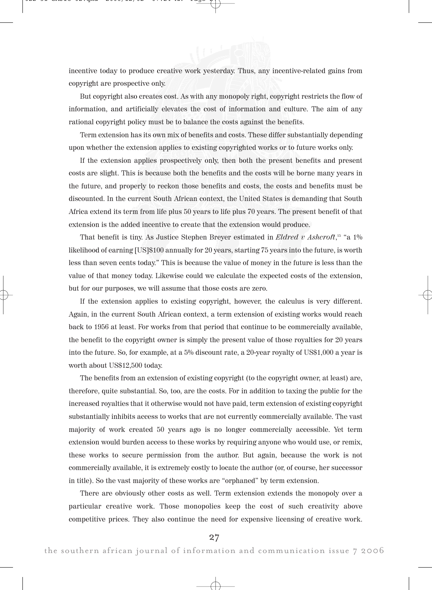incentive today to produce creative work yesterday. Thus, any incentive-related gains from copyright are prospective only.

But copyright also creates cost. As with any monopoly right, copyright restricts the flow of information, and artificially elevates the cost of information and culture. The aim of any rational copyright policy must be to balance the costs against the benefits.

Term extension has its own mix of benefits and costs. These differ substantially depending upon whether the extension applies to existing copyrighted works or to future works only.

If the extension applies prospectively only, then both the present benefits and present costs are slight. This is because both the benefits and the costs will be borne many years in the future, and properly to reckon those benefits and costs, the costs and benefits must be discounted. In the current South African context, the United States is demanding that South Africa extend its term from life plus 50 years to life plus 70 years. The present benefit of that extension is the added incentive to create that the extension would produce.

That benefit is tiny. As Justice Stephen Breyer estimated in *Eldred v Ashcroft*,<sup>15</sup> "a 1% likelihood of earning [US]\$100 annually for 20 years, starting 75 years into the future, is worth less than seven cents today." This is because the value of money in the future is less than the value of that money today. Likewise could we calculate the expected costs of the extension, but for our purposes, we will assume that those costs are zero.

If the extension applies to existing copyright, however, the calculus is very different. Again, in the current South African context, a term extension of existing works would reach back to 1956 at least. For works from that period that continue to be commercially available, the benefit to the copyright owner is simply the present value of those royalties for 20 years into the future. So, for example, at a 5% discount rate, a 20-year royalty of US\$1,000 a year is worth about US\$12,500 today.

The benefits from an extension of existing copyright (to the copyright owner, at least) are, therefore, quite substantial. So, too, are the costs. For in addition to taxing the public for the increased royalties that it otherwise would not have paid, term extension of existing copyright substantially inhibits access to works that are not currently commercially available. The vast majority of work created 50 years ago is no longer commercially accessible. Yet term extension would burden access to these works by requiring anyone who would use, or remix, these works to secure permission from the author. But again, because the work is not commercially available, it is extremely costly to locate the author (or, of course, her successor in title). So the vast majority of these works are "orphaned" by term extension.

There are obviously other costs as well. Term extension extends the monopoly over a particular creative work. Those monopolies keep the cost of such creativity above competitive prices. They also continue the need for expensive licensing of creative work.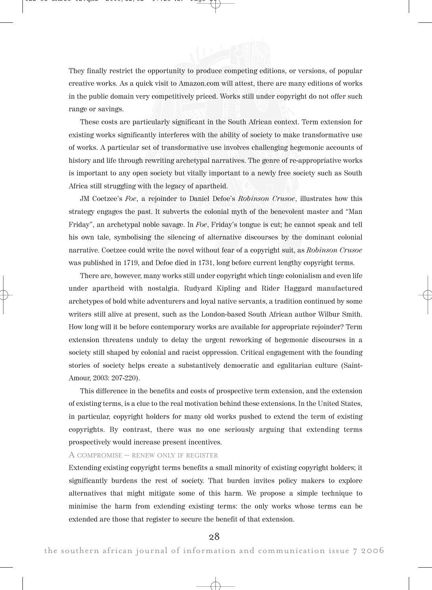

They finally restrict the opportunity to produce competing editions, or versions, of popular creative works. As a quick visit to Amazon.com will attest, there are many editions of works in the public domain very competitively priced. Works still under copyright do not offer such range or savings.

These costs are particularly significant in the South African context. Term extension for existing works significantly interferes with the ability of society to make transformative use of works. A particular set of transformative use involves challenging hegemonic accounts of history and life through rewriting archetypal narratives. The genre of re-appropriative works is important to any open society but vitally important to a newly free society such as South Africa still struggling with the legacy of apartheid.

JM Coetzee's Foe, a rejoinder to Daniel Defoe's Robinson Crusoe, illustrates how this strategy engages the past. It subverts the colonial myth of the benevolent master and "Man Friday", an archetypal noble savage. In Foe, Friday's tongue is cut; he cannot speak and tell his own tale, symbolising the silencing of alternative discourses by the dominant colonial narrative. Coetzee could write the novel without fear of a copyright suit, as Robinson Crusoe was published in 1719, and Defoe died in 1731, long before current lengthy copyright terms.

There are, however, many works still under copyright which tinge colonialism and even life under apartheid with nostalgia. Rudyard Kipling and Rider Haggard manufactured archetypes of bold white adventurers and loyal native servants, a tradition continued by some writers still alive at present, such as the London-based South African author Wilbur Smith. How long will it be before contemporary works are available for appropriate rejoinder? Term extension threatens unduly to delay the urgent reworking of hegemonic discourses in a society still shaped by colonial and racist oppression. Critical engagement with the founding stories of society helps create a substantively democratic and egalitarian culture (Saint-Amour, 2003: 207-220).

This difference in the benefits and costs of prospective term extension, and the extension of existing terms, is a clue to the real motivation behind these extensions. In the United States, in particular, copyright holders for many old works pushed to extend the term of existing copyrights. By contrast, there was no one seriously arguing that extending terms prospectively would increase present incentives.

## A COMPROMISE – RENEW ONLY IF REGISTER

Extending existing copyright terms benefits a small minority of existing copyright holders; it significantly burdens the rest of society. That burden invites policy makers to explore alternatives that might mitigate some of this harm. We propose a simple technique to minimise the harm from extending existing terms: the only works whose terms can be extended are those that register to secure the benefit of that extension.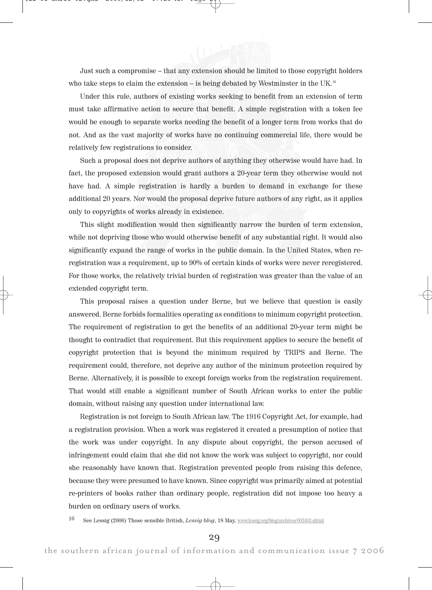Just such a compromise – that any extension should be limited to those copyright holders who take steps to claim the extension – is being debated by Westminster in the  $UK<sup>16</sup>$ 

Under this rule, authors of existing works seeking to benefit from an extension of term must take affirmative action to secure that benefit. A simple registration with a token fee would be enough to separate works needing the benefit of a longer term from works that do not. And as the vast majority of works have no continuing commercial life, there would be relatively few registrations to consider.

Such a proposal does not deprive authors of anything they otherwise would have had. In fact, the proposed extension would grant authors a 20-year term they otherwise would not have had. A simple registration is hardly a burden to demand in exchange for these additional 20 years. Nor would the proposal deprive future authors of any right, as it applies only to copyrights of works already in existence.

This slight modification would then significantly narrow the burden of term extension, while not depriving those who would otherwise benefit of any substantial right. It would also significantly expand the range of works in the public domain. In the United States, when reregistration was a requirement, up to 90% of certain kinds of works were never reregistered. For those works, the relatively trivial burden of registration was greater than the value of an extended copyright term.

This proposal raises a question under Berne, but we believe that question is easily answered. Berne forbids formalities operating as conditions to minimum copyright protection. The requirement of registration to get the benefits of an additional 20-year term might be thought to contradict that requirement. But this requirement applies to secure the benefit of copyright protection that is beyond the minimum required by TRIPS and Berne. The requirement could, therefore, not deprive any author of the minimum protection required by Berne. Alternatively, it is possible to except foreign works from the registration requirement. That would still enable a significant number of South African works to enter the public domain, without raising any question under international law.

Registration is not foreign to South African law. The 1916 Copyright Act, for example, had a registration provision. When a work was registered it created a presumption of notice that the work was under copyright. In any dispute about copyright, the person accused of infringement could claim that she did not know the work was subject to copyright, nor could she reasonably have known that. Registration prevented people from raising this defence, because they were presumed to have known. Since copyright was primarily aimed at potential re-printers of books rather than ordinary people, registration did not impose too heavy a burden on ordinary users of works.

16 See Lessig (2006) Those sensible British, Lessig blog, 18 May, www.lessig.org/blog/archives/003403.shtml

29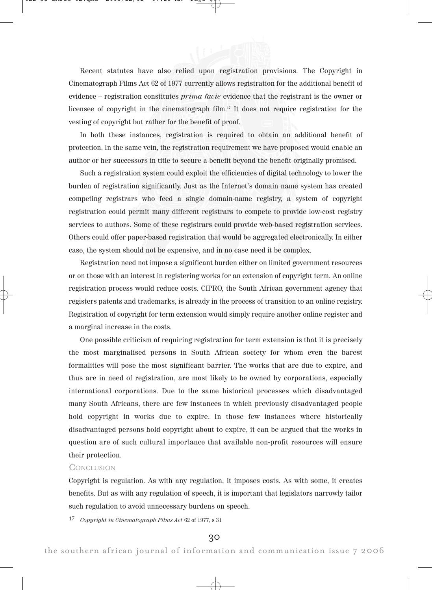Recent statutes have also relied upon registration provisions. The Copyright in Cinematograph Films Act 62 of 1977 currently allows registration for the additional benefit of evidence – registration constitutes prima facie evidence that the registrant is the owner or licensee of copyright in the cinematograph film.17 It does not require registration for the vesting of copyright but rather for the benefit of proof.

In both these instances, registration is required to obtain an additional benefit of protection. In the same vein, the registration requirement we have proposed would enable an author or her successors in title to secure a benefit beyond the benefit originally promised.

Such a registration system could exploit the efficiencies of digital technology to lower the burden of registration significantly. Just as the Internet's domain name system has created competing registrars who feed a single domain-name registry, a system of copyright registration could permit many different registrars to compete to provide low-cost registry services to authors. Some of these registrars could provide web-based registration services. Others could offer paper-based registration that would be aggregated electronically. In either case, the system should not be expensive, and in no case need it be complex.

Registration need not impose a significant burden either on limited government resources or on those with an interest in registering works for an extension of copyright term. An online registration process would reduce costs. CIPRO, the South African government agency that registers patents and trademarks, is already in the process of transition to an online registry. Registration of copyright for term extension would simply require another online register and a marginal increase in the costs.

One possible criticism of requiring registration for term extension is that it is precisely the most marginalised persons in South African society for whom even the barest formalities will pose the most significant barrier. The works that are due to expire, and thus are in need of registration, are most likely to be owned by corporations, especially international corporations. Due to the same historical processes which disadvantaged many South Africans, there are few instances in which previously disadvantaged people hold copyright in works due to expire. In those few instances where historically disadvantaged persons hold copyright about to expire, it can be argued that the works in question are of such cultural importance that available non-profit resources will ensure their protection.

### **CONCLUSION**

Copyright is regulation. As with any regulation, it imposes costs. As with some, it creates benefits. But as with any regulation of speech, it is important that legislators narrowly tailor such regulation to avoid unnecessary burdens on speech.

17 Copyright in Cinematograph Films Act 62 of 1977, s 31